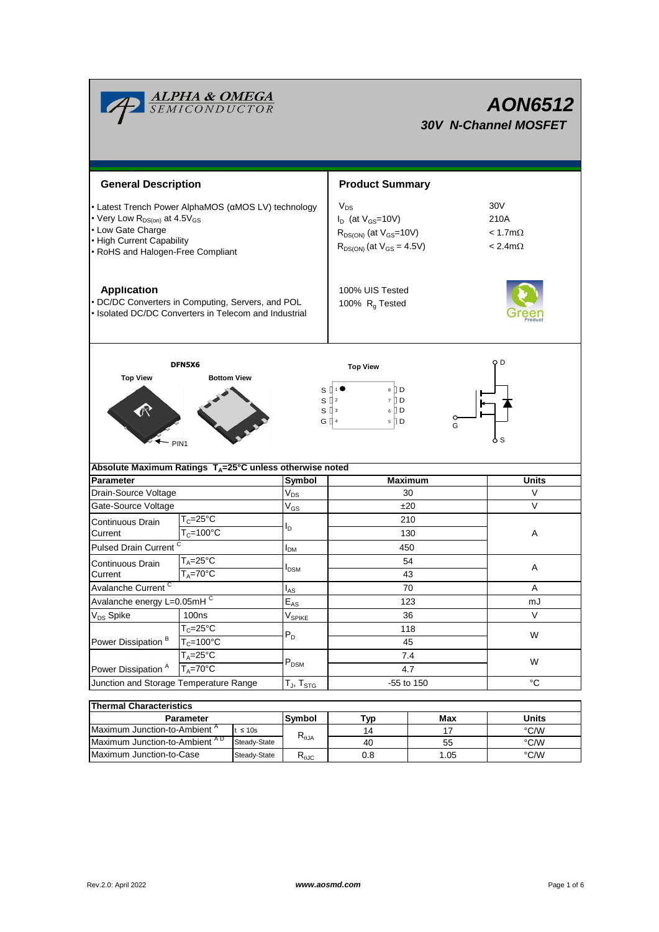| <mark>ALPHA &amp; OMEGA</mark><br>SEMICONDUCTOR                                                                                                                                       |                                                  |                      |                            | AON6512<br><b>30V N-Channel MOSFET</b>                                                                        |                                                                  |                               |  |  |
|---------------------------------------------------------------------------------------------------------------------------------------------------------------------------------------|--------------------------------------------------|----------------------|----------------------------|---------------------------------------------------------------------------------------------------------------|------------------------------------------------------------------|-------------------------------|--|--|
| <b>General Description</b>                                                                                                                                                            |                                                  |                      |                            | <b>Product Summary</b>                                                                                        |                                                                  |                               |  |  |
| • Latest Trench Power AlphaMOS (aMOS LV) technology<br>• Very Low $R_{DS(on)}$ at 4.5 $V_{GS}$<br>• Low Gate Charge<br>• High Current Capability<br>• RoHS and Halogen-Free Compliant |                                                  |                      |                            | $V_{DS}$<br>$I_D$ (at $V_{GS}$ =10V)<br>$R_{DS(ON)}$ (at $V_{GS}$ =10V)<br>$R_{DS(ON)}$ (at $V_{GS} = 4.5V$ ) | 30 <sub>V</sub><br>210A<br>$< 1.7$ m $\Omega$<br>$< 2.4 m\Omega$ |                               |  |  |
| <b>Application</b><br>• DC/DC Converters in Computing, Servers, and POL<br>• Isolated DC/DC Converters in Telecom and Industrial                                                      |                                                  |                      |                            | 100% UIS Tested<br>100% R <sub>q</sub> Tested                                                                 |                                                                  |                               |  |  |
| <b>Top View</b>                                                                                                                                                                       | DFN5X6<br><b>Bottom View</b><br>PIN <sub>1</sub> |                      | sι<br>s₫                   | <b>Top View</b><br>8 D<br>7 D<br>$\sqrt{2}$<br>$6$ D<br>$S^{13}$<br>G [] 4<br>5 D                             | o<br>G                                                           | O D<br>6 S                    |  |  |
| Absolute Maximum Ratings $T_A = 25^\circ C$ unless otherwise noted                                                                                                                    |                                                  |                      |                            |                                                                                                               |                                                                  |                               |  |  |
| <b>Parameter</b>                                                                                                                                                                      |                                                  |                      | Symbol                     | <b>Maximum</b>                                                                                                |                                                                  | Units                         |  |  |
| Drain-Source Voltage                                                                                                                                                                  |                                                  |                      | $\mathsf{V}_{\mathsf{DS}}$ | 30                                                                                                            |                                                                  | V                             |  |  |
| Gate-Source Voltage                                                                                                                                                                   |                                                  |                      | $\mathsf{V}_{\mathsf{GS}}$ | ±20                                                                                                           |                                                                  | V                             |  |  |
| Continuous Drain                                                                                                                                                                      | $T_c = 25$ °C                                    |                      | l <sub>D</sub>             | 210                                                                                                           |                                                                  |                               |  |  |
| Current                                                                                                                                                                               | $T_c = 100^{\circ}C$                             |                      |                            | 130                                                                                                           |                                                                  | A                             |  |  |
| <b>Pulsed Drain Current</b>                                                                                                                                                           |                                                  |                      | I <sub>DM</sub>            | 450                                                                                                           |                                                                  |                               |  |  |
| Continuous Drain                                                                                                                                                                      | $T_A = 25$ °C<br>$T_A = 70^\circ C$              |                      | <b>DSM</b>                 | 54                                                                                                            |                                                                  | Α                             |  |  |
| Current<br>Avalanche Current <sup>C</sup>                                                                                                                                             |                                                  |                      |                            | 43                                                                                                            |                                                                  | Α                             |  |  |
| Avalanche energy L=0.05mHC                                                                                                                                                            |                                                  | $I_{AS}$<br>$E_{AS}$ | 70<br>123                  |                                                                                                               | mJ                                                               |                               |  |  |
|                                                                                                                                                                                       |                                                  |                      |                            |                                                                                                               |                                                                  |                               |  |  |
|                                                                                                                                                                                       |                                                  |                      |                            |                                                                                                               |                                                                  |                               |  |  |
| V <sub>DS</sub> Spike                                                                                                                                                                 | 100ns                                            |                      | $V_{SPIKE}$                | 36                                                                                                            |                                                                  | $\vee$                        |  |  |
|                                                                                                                                                                                       | $T_c = 25$ °C                                    |                      | $P_D$                      | 118                                                                                                           |                                                                  | W                             |  |  |
| Power Dissipation <sup>B</sup>                                                                                                                                                        | $T_c = 100^{\circ}C$                             |                      |                            | 45                                                                                                            |                                                                  |                               |  |  |
| Power Dissipation <sup>A</sup>                                                                                                                                                        | $T_A = 25$ °C<br>$T_A = 70$ °C                   |                      | $\mathsf{P}_\mathsf{DSM}$  | 7.4<br>4.7                                                                                                    |                                                                  | W                             |  |  |
| Junction and Storage Temperature Range                                                                                                                                                |                                                  |                      | $T_J$ , $T_{STG}$          | -55 to 150                                                                                                    |                                                                  | $^{\circ}C$                   |  |  |
|                                                                                                                                                                                       |                                                  |                      |                            |                                                                                                               |                                                                  |                               |  |  |
| <b>Thermal Characteristics</b>                                                                                                                                                        |                                                  |                      |                            |                                                                                                               |                                                                  |                               |  |  |
| Maximum Junction-to-Ambient <sup>A</sup>                                                                                                                                              | <b>Parameter</b>                                 | $t \leq 10s$         | Symbol                     | <b>Typ</b><br>14                                                                                              | Max<br>17                                                        | <b>Units</b><br>$\degree$ C/W |  |  |

Maximum Junction-to-Case Steady-State R<sub>6JC</sub> 0.8 1.05 °C/W

0.8

1.05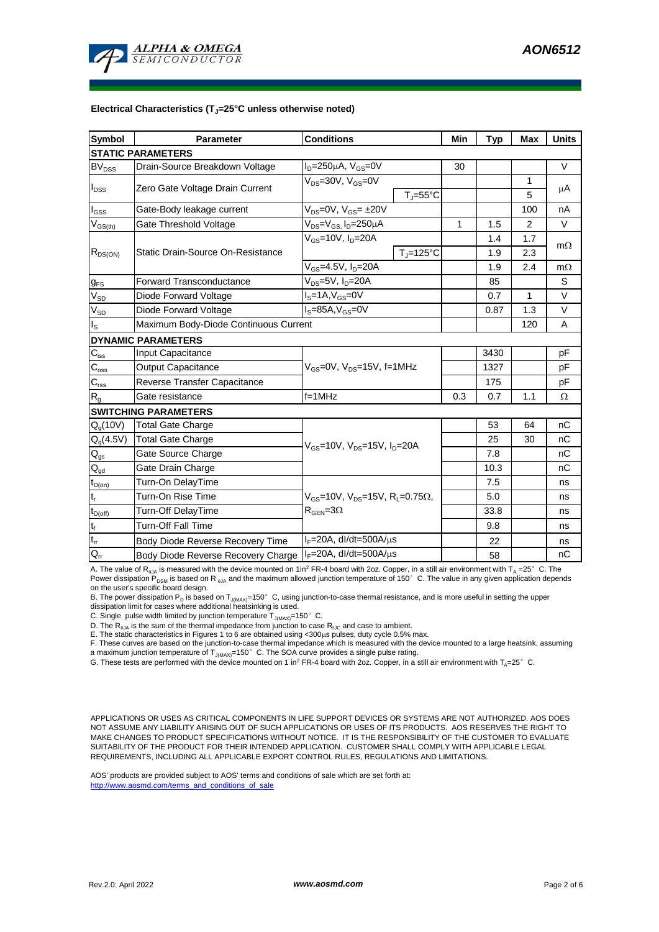

#### **Electrical Characteristics (TJ=25°C unless otherwise noted)**

| <b>Symbol</b>              | <b>Parameter</b>                      | <b>Conditions</b>                                                             | Min | <b>Typ</b> | <b>Max</b>   | <b>Units</b> |  |  |  |  |  |
|----------------------------|---------------------------------------|-------------------------------------------------------------------------------|-----|------------|--------------|--------------|--|--|--|--|--|
| <b>STATIC PARAMETERS</b>   |                                       |                                                                               |     |            |              |              |  |  |  |  |  |
| BV <sub>DSS</sub>          | Drain-Source Breakdown Voltage        | $I_D = 250 \mu A$ , $V_{GS} = 0V$                                             | 30  |            |              | V            |  |  |  |  |  |
| $I_{DSS}$                  | Zero Gate Voltage Drain Current       | $V_{DS}$ =30V, $V_{GS}$ =0V<br>$T_J = 55^{\circ}C$                            |     |            | 1<br>5       | μA           |  |  |  |  |  |
| $I_{GSS}$                  | Gate-Body leakage current             | $V_{DS} = 0V$ , $V_{GS} = \pm 20V$                                            |     |            | 100          | nA           |  |  |  |  |  |
| $\rm V_{GS(th)}$           | Gate Threshold Voltage                | $V_{DS} = V_{GS}$ , $I_D = 250 \mu A$                                         | 1   | 1.5        | 2            | V            |  |  |  |  |  |
| $R_{DS(ON)}$               | Static Drain-Source On-Resistance     | $V_{GS}$ =10V, I <sub>n</sub> =20A                                            |     | 1.4        | 1.7          |              |  |  |  |  |  |
|                            |                                       | $T_{\rm J}$ =125°C                                                            |     | 1.9        | 2.3          | $m\Omega$    |  |  |  |  |  |
|                            |                                       | $V_{GS} = 4.5V, I_D = 20A$                                                    |     | 1.9        | 2.4          | $m\Omega$    |  |  |  |  |  |
| $g_{FS}$                   | <b>Forward Transconductance</b>       | $V_{DS}$ =5V, I <sub>D</sub> =20A                                             |     | 85         |              | S            |  |  |  |  |  |
| $V_{SD}$                   | Diode Forward Voltage                 | $IS=1A, VGS=0V$                                                               |     | 0.7        | $\mathbf{1}$ | $\vee$       |  |  |  |  |  |
| $\rm V_{SD}$               | Diode Forward Voltage                 | $IS=85A, VGS=0V$                                                              |     | 0.87       | 1.3          | V            |  |  |  |  |  |
| $I_{\rm S}$                | Maximum Body-Diode Continuous Current |                                                                               |     | 120        | A            |              |  |  |  |  |  |
|                            | <b>DYNAMIC PARAMETERS</b>             |                                                                               |     |            |              |              |  |  |  |  |  |
| $C_{\text{iss}}$           | Input Capacitance                     |                                                                               |     | 3430       |              | pF           |  |  |  |  |  |
| $C_{\rm oss}$              | Output Capacitance                    | $V_{GS}$ =0V, $V_{DS}$ =15V, f=1MHz                                           |     | 1327       |              | pF           |  |  |  |  |  |
| $C_{\text{rss}}$           | Reverse Transfer Capacitance          |                                                                               |     | 175        |              | pF           |  |  |  |  |  |
| R <sub>g</sub>             | Gate resistance                       | f=1MHz                                                                        | 0.3 | 0.7        | 1.1          | Ω            |  |  |  |  |  |
|                            | <b>SWITCHING PARAMETERS</b>           |                                                                               |     |            |              |              |  |  |  |  |  |
| $Q_g(10V)$                 | <b>Total Gate Charge</b>              |                                                                               |     | 53         | 64           | nC           |  |  |  |  |  |
| $Q_g(4.5V)$                | <b>Total Gate Charge</b>              | $V_{GS}$ =10V, $V_{DS}$ =15V, $I_D$ =20A                                      |     | 25         | 30           | nC           |  |  |  |  |  |
| $Q_{gs}$                   | Gate Source Charge                    |                                                                               |     | 7.8        |              | nC           |  |  |  |  |  |
| $\mathsf{Q}_{\mathsf{gd}}$ | Gate Drain Charge                     |                                                                               |     | 10.3       |              | nС           |  |  |  |  |  |
| $t_{D(0n)}$                | Turn-On DelayTime                     |                                                                               |     | 7.5        |              | ns           |  |  |  |  |  |
| $t_r$                      | Turn-On Rise Time                     | $V_{\text{GS}} = 10V$ , $V_{\text{DS}} = 15V$ , $R_{\text{I}} = 0.75\Omega$ , |     | 5.0        |              | ns           |  |  |  |  |  |
| $t_{D(off)}$               | Turn-Off DelayTime                    | $\rm R_{GEN}$ =3 $\Omega$                                                     |     | 33.8       |              | ns           |  |  |  |  |  |
| $\mathsf{t}_{\mathsf{f}}$  | <b>Turn-Off Fall Time</b>             |                                                                               |     | 9.8        |              | ns           |  |  |  |  |  |
| $t_{rr}$                   | Body Diode Reverse Recovery Time      | $I_F = 20A$ , dl/dt=500A/ $\mu$ s                                             |     | 22         |              | ns           |  |  |  |  |  |
| $Q_{rr}$                   | Body Diode Reverse Recovery Charge    | $I_F = 20A$ , dl/dt=500A/ $\mu$ s                                             |     | 58         |              | nC           |  |  |  |  |  |

A. The value of R<sub>AJA</sub> is measured with the device mounted on 1in<sup>2</sup> FR-4 board with 2oz. Copper, in a still air environment with T<sub>A</sub> =25°C. The Power dissipation P<sub>DSM</sub> is based on R  $_{0JA}$  and the maximum allowed junction temperature of 150°C. The value in any given application depends on the user's specific board design.

B. The power dissipation P<sub>D</sub> is based on T<sub>J(MAX)</sub>=150°C, using junction-to-case thermal resistance, and is more useful in setting the upper<br>dissipation limit for cases where additional heatsinking is used.

C. Single pulse width limited by junction temperature  $T_{J(MAX)}$ =150°C.

D. The  $R_{qJA}$  is the sum of the thermal impedance from junction to case  $R_{qJC}$  and case to ambient.

E. The static characteristics in Figures 1 to 6 are obtained using <300µs pulses, duty cycle 0.5% max.

F. These curves are based on the junction-to-case thermal impedance which is measured with the device mounted to a large heatsink, assuming a maximum junction temperature of  $T_{J(MAX)}$ =150°C. The SOA curve provides a single pulse rating.

G. These tests are performed with the device mounted on 1 in<sup>2</sup> FR-4 board with 2oz. Copper, in a still air environment with T<sub>A</sub>=25°C.

APPLICATIONS OR USES AS CRITICAL COMPONENTS IN LIFE SUPPORT DEVICES OR SYSTEMS ARE NOT AUTHORIZED. AOS DOES NOT ASSUME ANY LIABILITY ARISING OUT OF SUCH APPLICATIONS OR USES OF ITS PRODUCTS. AOS RESERVES THE RIGHT TO MAKE CHANGES TO PRODUCT SPECIFICATIONS WITHOUT NOTICE. IT IS THE RESPONSIBILITY OF THE CUSTOMER TO EVALUATE SUITABILITY OF THE PRODUCT FOR THEIR INTENDED APPLICATION. CUSTOMER SHALL COMPLY WITH APPLICABLE LEGAL REQUIREMENTS, INCLUDING ALL APPLICABLE EXPORT CONTROL RULES, REGULATIONS AND LIMITATIONS.

AOS' products are provided subject to AOS' terms and conditions of sale which are set forth at: http://www.aosmd.com/terms\_and\_conditions\_of\_sale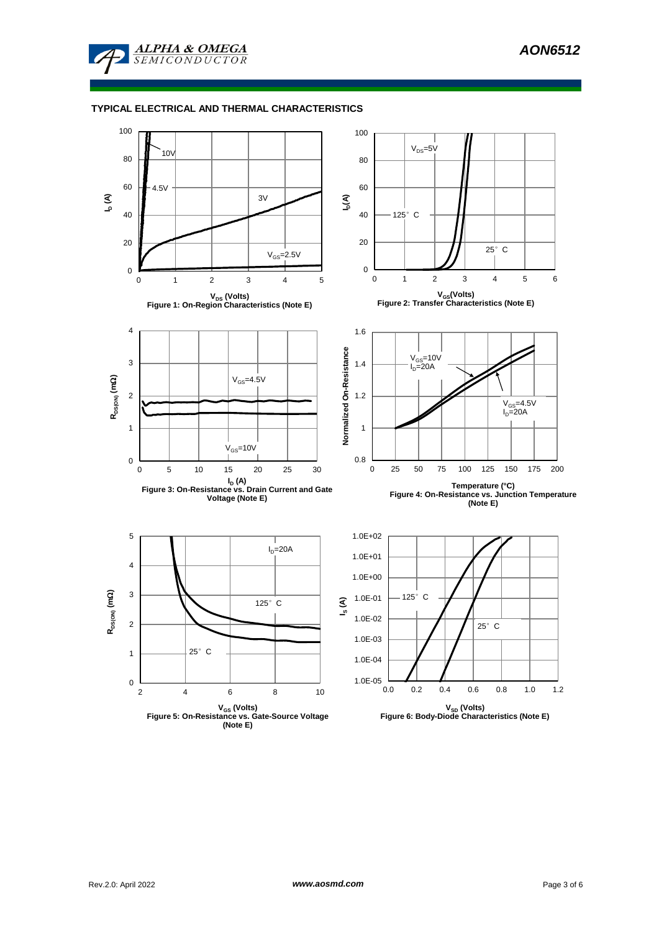

# **TYPICAL ELECTRICAL AND THERMAL CHARACTERISTICS**

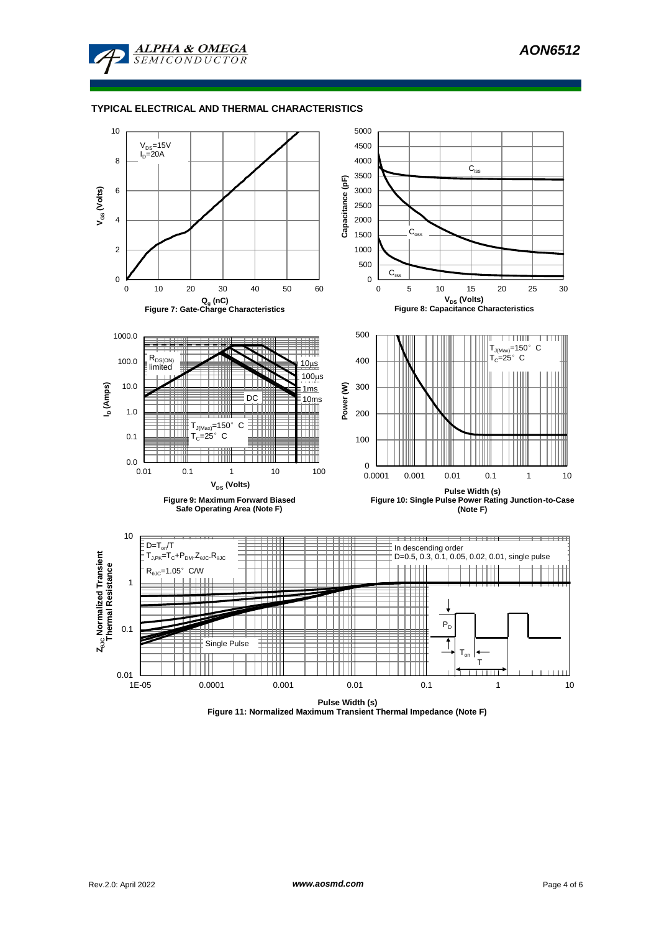

#### **TYPICAL ELECTRICAL AND THERMAL CHARACTERISTICS**



**Figure 11: Normalized Maximum Transient Thermal Impedance (Note F)**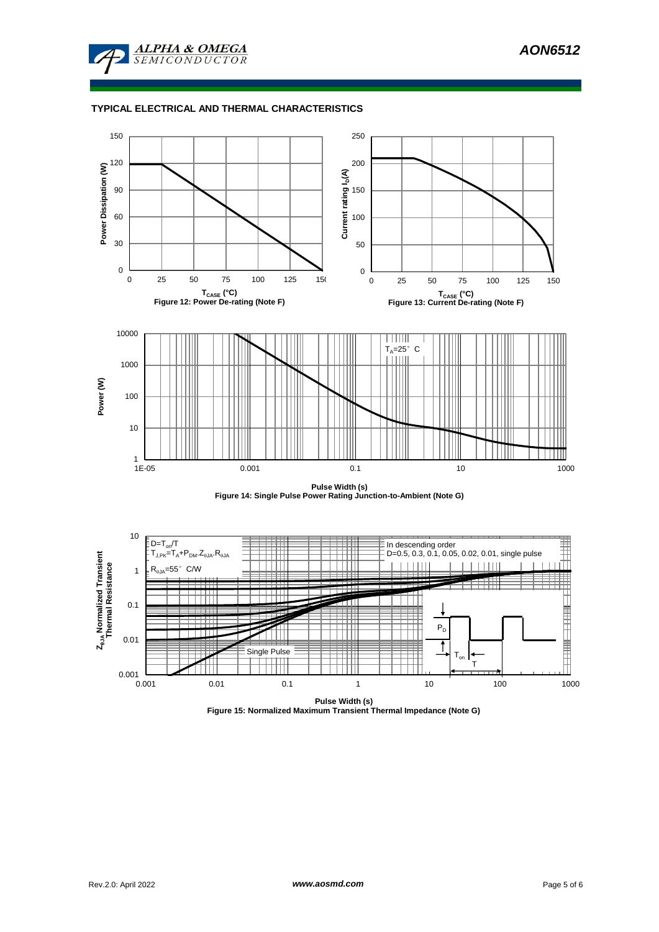

# **TYPICAL ELECTRICAL AND THERMAL CHARACTERISTICS**



**Pulse Width (s) Figure 14: Single Pulse Power Rating Junction-to-Ambient (Note G)**